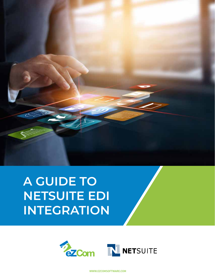# **A GUIDE TO NETSUITE EDI INTEGRATION**



WWW.EZCOMSOFTWARE.COM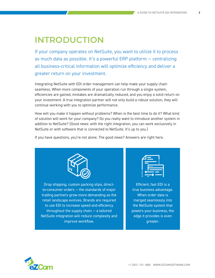### **INTRODUCTION**

If your company operates on NetSuite, you want to utilize it to process as much data as possible. It's a powerful ERP platform — centralizing all business-critical information will optimize efficiency and deliver a greater return on your investment.

Integrating NetSuite with EDI order management can help make your supply chain seamless. When more components of your operation run through a single system, efficiencies are gained, mistakes are dramatically reduced, and you enjoy a solid return on your investment. A true integration partner will not only build a robust solution, they will continue working with you to optimize performance.

How will you make it happen without problems? When is the best time to do it? What kind of solution will work for your company? Do you really want to introduce another system in addition to NetSuite? (Good news: with the right integration, you can work exclusively in NetSuite or with software that is connected to NetSuite. It's up to you.)

If you have questions, you're not alone. The good news? Answers are right here.



Drop shipping, custom packing slips, directto-consumer orders — the standards of major trading partners grow more demanding as the retail landscape evolves. Brands are required to use EDI to increase speed and efficiency throughout the supply chain — a tailored NetSuite integration will reduce complexity and improve workflow.

Efficient, fast EDI is a true business advantage. When order data is merged seamlessly into the NetSuite system that powers your business, the edge it provides is even greater.

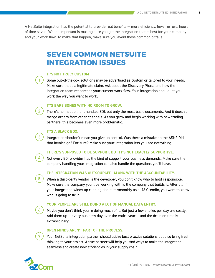A NetSuite integration has the potential to provide real benefits — more efficiency, fewer errors, hours of time saved. What's important is making sure you get the integration that is best for your company and your work flow. To make that happen, make sure you avoid these common pitfalls.

### **SEVEN COMMON NETSUITE INTEGRATION ISSUES**

#### **IT'S NOT TRULY CUSTOM**

1

2

3

4

5

6

7

Some out-of-the-box solutions may be advertised as custom or tailored to your needs. Make sure that's a legitimate claim. Ask about the Discovery Phase and how the integration team researches your current work flow. Your integration should let you work the way you want to work.

#### **IT'S BARE BONES WITH NO ROOM TO GROW.**

There's no meat on it. It handles EDI, but only the most basic documents. And it doesn't merge orders from other channels. As you grow and begin working with new trading partners, this becomes even more problematic.

#### **IT'S A BLACK BOX.**

Integration shouldn't mean you give up control. Was there a mistake on the ASN? Did that invoice go? For sure? Make sure your integration lets you see everything.

#### **THERE'S SUPPOSED TO BE SUPPORT. BUT IT'S NOT EXACTLY SUPPORTIVE.**

Not every EDI provider has the kind of support your business demands. Make sure the company handling your integration can also handle the questions you'll have.

#### **THE INTEGRATION WAS OUTSOURCED. ALONG WITH THE ACCOUNTABILITY.**

When a third-party vendor is the developer, you don't know who to hold responsible. Make sure the company you'll be working with is the company that builds it. After all, if your integration winds up running about as smoothly as a '73 Gremlin, you want to know who is going to fix it.

#### **YOUR PEOPLE ARE STILL DOING A LOT OF MANUAL DATA ENTRY.**

Maybe you don't think you're doing much of it. But just a few entries per day are costly. Add them up  $-$  every business day over the entire year  $-$  and the drain on time is extraordinary.

#### **OPEN MINDS AREN'T PART OF THE PROCESS.**

Your NetSuite integration partner should utilize best practice solutions but also bring fresh thinking to your project. A true partner will help you find ways to make the integration seamless and create new efficiencies in your supply chain.

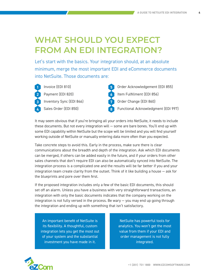### **WHAT SHOULD YOU EXPECT FROM AN EDI INTEGRATION?**

Let's start with the basics. Your integration should, at an absolute minimum, merge the most important EDI and eCommerce documents into NetSuite. Those documents are:



Invoice (EDI 810) **1 5 2 B Payment (EDI 820) <b>6** Inventory Sync (EDI 846) **3 7** Sales Order (EDI 850) **4 8**



Order Acknowledgement (EDI 855) Item Fulfillment (EDI 856) Order Change (EDI 860) Functional Acknowledgment (EDI 997)

It may seem obvious that if you're bringing all your orders into NetSuite, it needs to include these documents. But not every integration will — some are bare bones. You'll end up with some EDI capability within NetSuite but the scope will be limited and you will find yourself working outside of NetSuite or manually entering data more often than you expected.

Take concrete steps to avoid this. Early in the process, make sure there is clear communications about the breadth and depth of the integration. Ask which EDI documents can be merged, if others can be added easily in the future, and if your orders from other sales channels that don't require EDI can also be automatically synced into NetSuite. The integration process is a complicated one and the results will be far better if you and your integration team create clarity from the outset. Think of it like building a house — ask for the blueprints and pore over them first.

If the proposed integration includes only a few of the basic EDI documents, this should set off an alarm. Unless you have a business with very straightforward transactions, an integration with only the basic documents indicates that the company working on the integration is not fully versed in the process. Be wary — you may end up going through the integration and ending up with something that isn't satisfactory.

An important benefit of NetSuite is its flexibility. A thoughtful, custom integration lets you get the most out of your system and the substantial investment you have made in it.

NetSuite has powerful tools for analytics. You won't get the most value from them if your EDI and order management is not fully integrated.

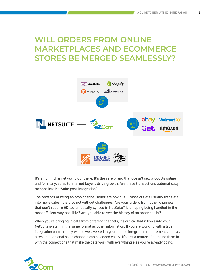### **WILL ORDERS FROM ONLINE MARKETPLACES AND ECOMMERCE STORES BE MERGED SEAMLESSLY?**



It's an omnichannel world out there. It's the rare brand that doesn't sell products online and for many, sales to Internet buyers drive growth. Are these transactions automatically merged into NetSuite post-integration?

The rewards of being an omnichannel seller are obvious — more outlets usually translate into more sales. It is also not without challenges. Are your orders from other channels that don't require EDI automatically synced in NetSuite? Is shipping being handled in the most efficient way possible? Are you able to see the history of an order easily?

When you're bringing in data from different channels, it's critical that it flows into your NetSuite system in the same format as other information. If you are working with a true integration partner, they will be well-versed in your unique integration requirements and, as a result, additional sales channels can be added easily. It's just a matter of plugging them in with the connections that make the data work with everything else you're already doing.

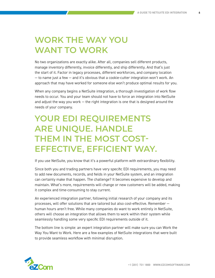### **WORK THE WAY YOU WANT TO WORK**

No two organizations are exactly alike. After all, companies sell different products, manage inventory differently, invoice differently, and ship differently. And that's just the start of it. Factor in legacy processes, different workforces, and company location — to name just a few — and it's obvious that a cookie-cutter integration won't work. An approach that may have worked for someone else won't produce optimal results for you.

When any company begins a NetSuite integration, a thorough investigation of work flow needs to occur. You and your team should not have to force an integration into NetSuite and adjust the way you work  $-$  the right integration is one that is designed around the needs of your company.

# **YOUR EDI REQUIREMENTS ARE UNIQUE. HANDLE THEM IN THE MOST COST-EFFECTIVE, EFFICIENT WAY.**

If you use NetSuite, you know that it's a powerful platform with extraordinary flexibility.

Since both you and trading partners have very specific EDI requirements, you may need to add new documents, records, and fields in your NetSuite system, and an integration can certainly make that happen. The challenge? It becomes expensive to develop and maintain. What's more, requirements will change or new customers will be added, making it complex and time-consuming to stay current.

An experienced integration partner, following initial research of your company and its processes, will offer solutions that are tailored but also cost-effective. Remember human hours aren't free. While many companies do want to work entirely in NetSuite, others will choose an integration that allows them to work within their system while seamlessly handling some very specific EDI requirements outside of it.

The bottom line is simple: an expert integration partner will make sure you can Work the Way You Want to Work. Here are a few examples of NetSuite integrations that were built to provide seamless workflow with minimal disruption.

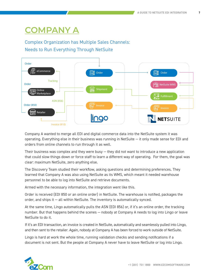# **COMPANY A**

#### Complex Organization has Multiple Sales Channels: Needs to Run Everything Through NetSuite



Company A wanted to merge all EDI and digital commerce data into the NetSuite system it was operating. Everything else in their business was running in NetSuite — it only made sense for EDI and orders from online channels to run through it as well.

Their business was complex and they were busy — they did not want to introduce a new application that could slow things down or force staff to learn a different way of operating. For them, the goal was clear: maximum NetSuite, zero anything else.

The Discovery Team studied their workflow, asking questions and determining preferences. They learned that Company A was also using NetSuite as its WMS, which meant it needed warehouse personnel to be able to log into NetSuite and retrieve documents.

Armed with the necessary information, the integration went like this.

Order is received (EDI 850 or an online order) in NetSuite. The warehouse is notified, packages the order, and ships it — all within NetSuite. The inventory is automatically synced.

At the same time, Lingo automatically pulls the ASN (EDI 856) or, if it's an online order, the tracking number. But that happens behind the scenes — nobody at Company A needs to log into Lingo or leave NetSuite to do it.

If it's an EDI transaction, an invoice is created in NetSuite, automatically and seamlessly pulled into Lingo, and then sent to the retailer. Again, nobody at Company A has been forced to work outside of NetSuite.

Lingo is hard at work the whole time, running validation checks and sending notifications if a document is not sent. But the people at Company A never have to leave NetSuite or log into Lingo.

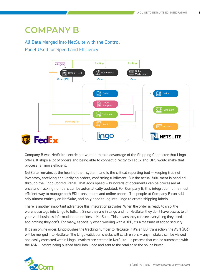### **COMPANY B**

#### All Data Merged into NetSuite with the Control Panel Used for Speed and Efficiency



Company B was NetSuite-centric but wanted to take advantage of the Shipping Connector that Lingo offers. It ships a lot of orders and being able to connect directly to FedEx and UPS would make that process far more efficient.

NetSuite remains at the heart of their system, and is the critical reporting tool — keeping track of inventory, receiving and verifying orders, confirming fulfillment. But the actual fulfillment is handled through the Lingo Control Panel. That adds speed — hundreds of documents can be processed at once and tracking numbers can be automatically updated. For Company B, this integration is the most efficient way to manage both EDI transactions and online orders. The people at Company B can still rely almost entirely on NetSuite, and only need to log into Lingo to create shipping labels.

There is another important advantage this integration provides. When the order is ready to ship, the warehouse logs into Lingo to fulfill it. Since they are in Lingo and not NetSuite, they don't have access to all your vital business information that resides in NetSuite. This means they can see everything they need and nothing they don't. For many, especially when working with a 3PL, it's a measure of added security.

If it's an online order, Lingo pushes the tracking number to NetSuite. If it's an EDI transaction, the ASN (856) will be merged into NetSuite. The Lingo validation checks will catch errors — any mistakes can be viewed and easily corrected within Lingo. Invoices are created in NetSuite — a process that can be automated with the ASN — before being pushed back into Lingo and sent to the retailer or the online buyer.

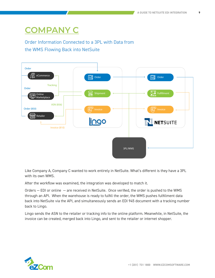# **COMPANY C**

#### Order Information Connected to a 3PL with Data from the WMS Flowing Back into NetSuite



Like Company A, Company C wanted to work entirely in NetSuite. What's different is they have a 3PL with its own WMS.

After the workflow was examined, the integration was developed to match it.

Orders — EDI or online — are received in NetSuite. Once verified, the order is pushed to the WMS through an API. When the warehouse is ready to fulfill the order, the WMS pushes fulfillment data back into NetSuite via the API, and simultaneously sends an EDI 945 document with a tracking number back to Lingo.

Lingo sends the ASN to the retailer or tracking info to the online platform. Meanwhile, in NetSuite, the invoice can be created, merged back into Lingo, and sent to the retailer or internet shopper.